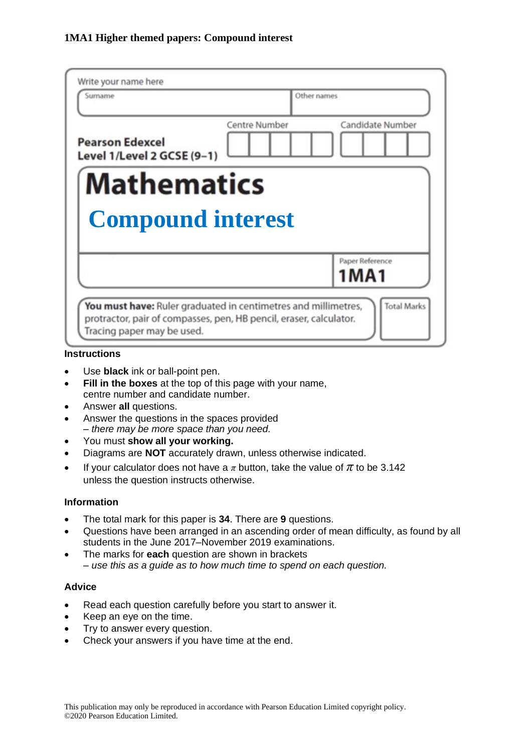| Candidate Number                                                                                                                     |
|--------------------------------------------------------------------------------------------------------------------------------------|
|                                                                                                                                      |
|                                                                                                                                      |
| <b>Compound interest</b><br>Paper Reference                                                                                          |
| 1MA1                                                                                                                                 |
| You must have: Ruler graduated in centimetres and millimetres,<br>protractor, pair of compasses, pen, HB pencil, eraser, calculator. |

#### **Instructions**

- Use **black** ink or ball-point pen.
- **Fill in the boxes** at the top of this page with your name, centre number and candidate number.
- Answer **all** questions.
- Answer the questions in the spaces provided *– there may be more space than you need.*
- You must **show all your working.**
- Diagrams are **NOT** accurately drawn, unless otherwise indicated.
- If your calculator does not have a  $\pi$  button, take the value of  $\pi$  to be 3.142 unless the question instructs otherwise.

#### **Information**

- The total mark for this paper is **34**. There are **9** questions.
- Questions have been arranged in an ascending order of mean difficulty, as found by all students in the June 2017–November 2019 examinations.
- The marks for **each** question are shown in brackets *– use this as a guide as to how much time to spend on each question.*

#### **Advice**

- Read each question carefully before you start to answer it.
- Keep an eye on the time.
- Try to answer every question.
- Check your answers if you have time at the end.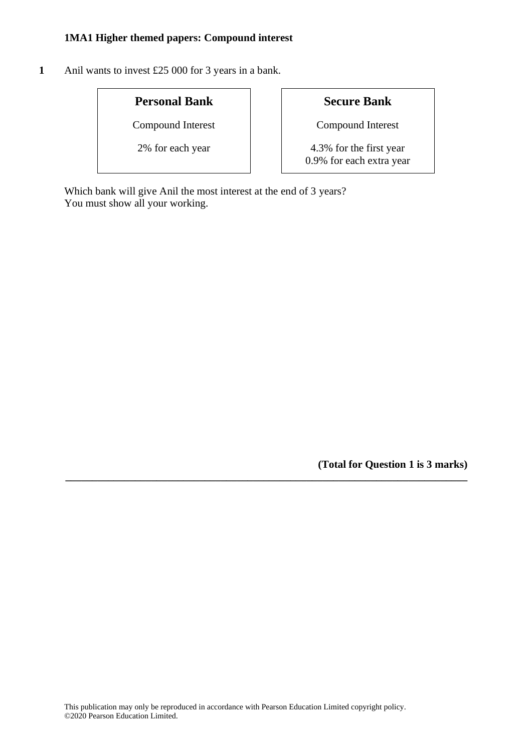**1** Anil wants to invest £25 000 for 3 years in a bank.

# **Personal Bank Secure Bank**

Compound Interest **Compound Interest** 

2% for each year 1.4.3% for the first year 0.9% for each extra year

Which bank will give Anil the most interest at the end of 3 years? You must show all your working.

**(Total for Question 1 is 3 marks)**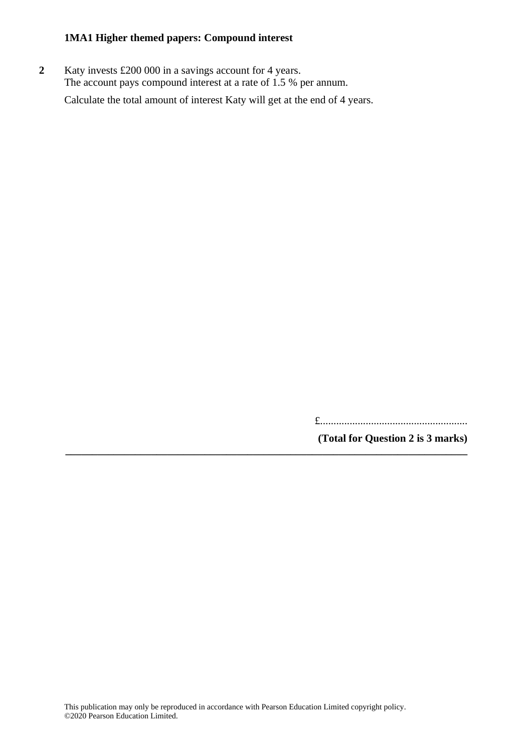**2** Katy invests £200 000 in a savings account for 4 years. The account pays compound interest at a rate of 1.5 % per annum.

Calculate the total amount of interest Katy will get at the end of 4 years.

£.......................................................

**(Total for Question 2 is 3 marks)**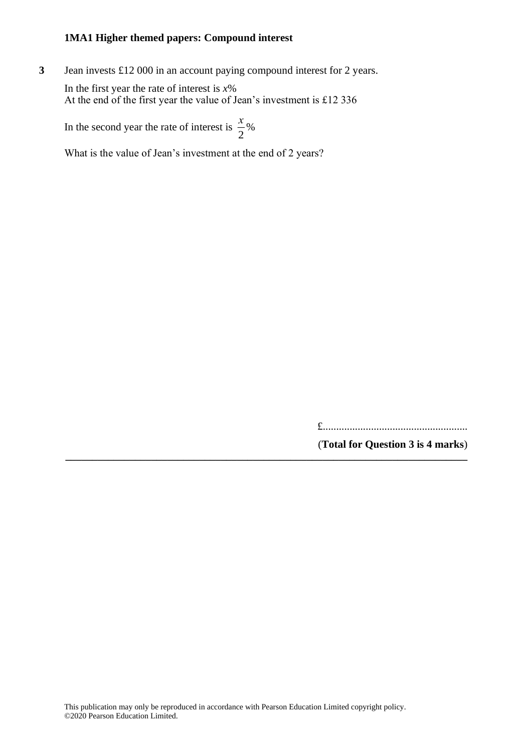**3** Jean invests £12 000 in an account paying compound interest for 2 years.

In the first year the rate of interest is *x*% At the end of the first year the value of Jean's investment is £12 336

In the second year the rate of interest is  $\frac{x}{2}$  $\frac{x}{2}$ %

What is the value of Jean's investment at the end of 2 years?

£......................................................

(**Total for Question 3 is 4 marks**) **\_\_\_\_\_\_\_\_\_\_\_\_\_\_\_\_\_\_\_\_\_\_\_\_\_\_\_\_\_\_\_\_\_\_\_\_\_\_\_\_\_\_\_\_\_\_\_\_\_\_\_\_\_\_\_\_\_\_\_\_\_\_\_\_\_\_\_\_\_\_\_\_\_\_\_**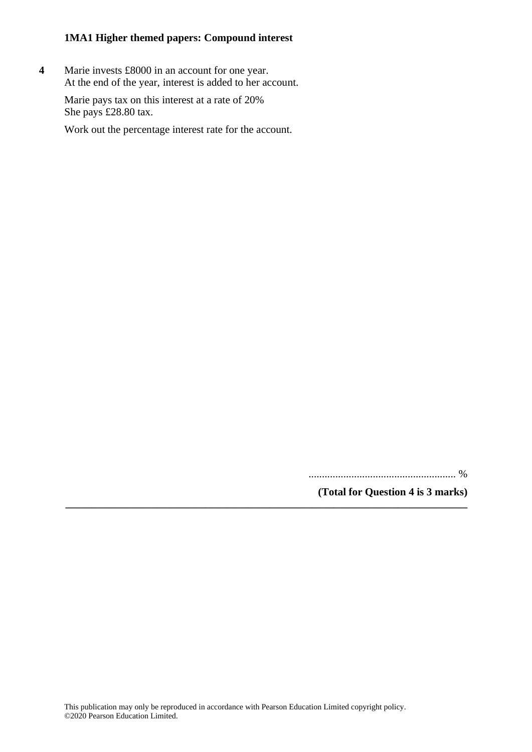**4** Marie invests £8000 in an account for one year. At the end of the year, interest is added to her account.

Marie pays tax on this interest at a rate of 20% She pays £28.80 tax.

Work out the percentage interest rate for the account.

....................................................... %

**(Total for Question 4 is 3 marks)**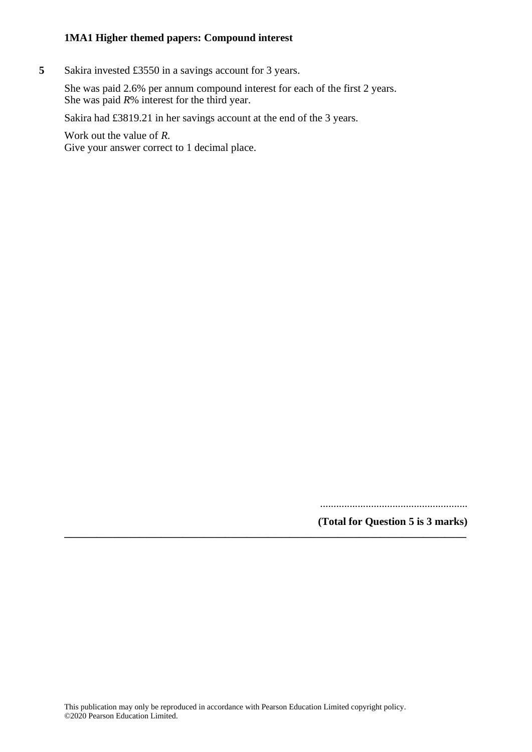**5** Sakira invested £3550 in a savings account for 3 years.

She was paid 2.6% per annum compound interest for each of the first 2 years. She was paid *R*% interest for the third year.

Sakira had £3819.21 in her savings account at the end of the 3 years.

Work out the value of *R*. Give your answer correct to 1 decimal place.

.......................................................

**(Total for Question 5 is 3 marks) \_\_\_\_\_\_\_\_\_\_\_\_\_\_\_\_\_\_\_\_\_\_\_\_\_\_\_\_\_\_\_\_\_\_\_\_\_\_\_\_\_\_\_\_\_\_\_\_\_\_\_\_\_\_\_\_\_\_\_\_\_\_\_\_\_\_\_\_\_\_\_\_\_\_\_**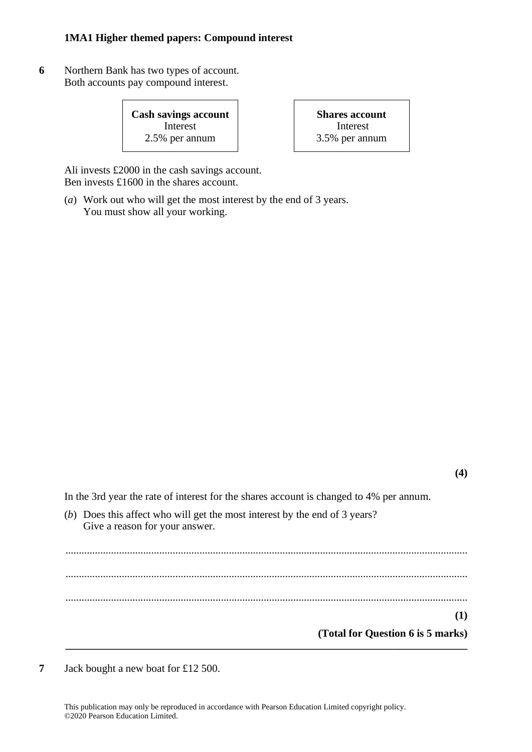**6** Northern Bank has two types of account. Both accounts pay compound interest.

> **Cash savings account** Interest 2.5% per annum

**Shares account** Interest 3.5% per annum

Ali invests £2000 in the cash savings account. Ben invests £1600 in the shares account.

(*a*) Work out who will get the most interest by the end of 3 years. You must show all your working.

**(4)**

In the 3rd year the rate of interest for the shares account is changed to 4% per annum.

(*b*) Does this affect who will get the most interest by the end of 3 years? Give a reason for your answer.

...................................................................................................................................................... ...................................................................................................................................................... **(1) (Total for Question 6 is 5 marks) \_\_\_\_\_\_\_\_\_\_\_\_\_\_\_\_\_\_\_\_\_\_\_\_\_\_\_\_\_\_\_\_\_\_\_\_\_\_\_\_\_\_\_\_\_\_\_\_\_\_\_\_\_\_\_\_\_\_\_\_\_\_\_\_\_\_\_\_\_\_\_\_\_\_\_**

......................................................................................................................................................

**7** Jack bought a new boat for £12 500.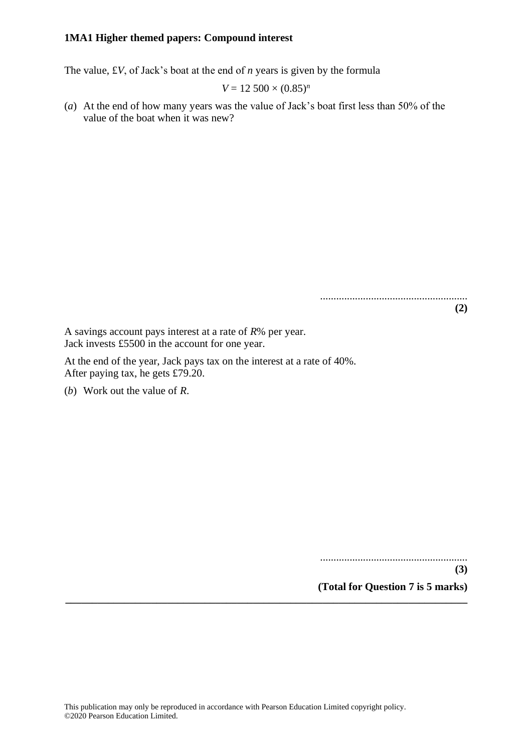The value, £*V*, of Jack's boat at the end of *n* years is given by the formula

$$
V = 12\,500 \times (0.85)^n
$$

(*a*) At the end of how many years was the value of Jack's boat first less than 50% of the value of the boat when it was new?

A savings account pays interest at a rate of *R*% per year. Jack invests £5500 in the account for one year.

At the end of the year, Jack pays tax on the interest at a rate of 40%. After paying tax, he gets £79.20.

(*b*) Work out the value of *R*.

.......................................................

.......................................................

**(3)**

**(2)**

**(Total for Question 7 is 5 marks)**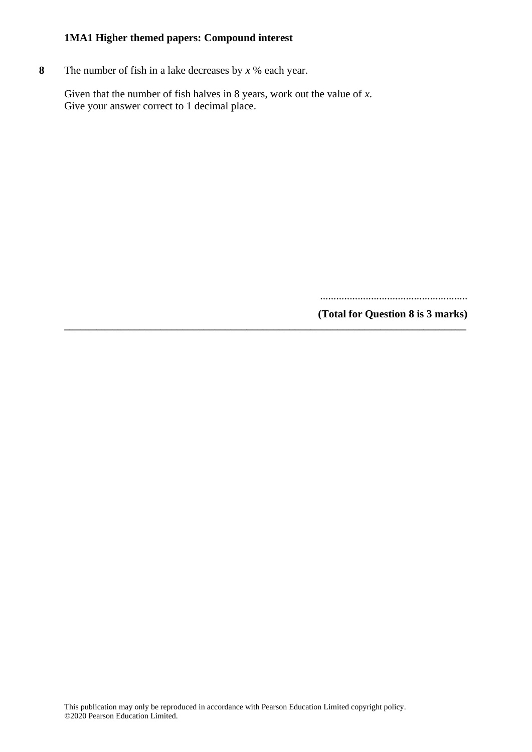**8** The number of fish in a lake decreases by *x* % each year.

Given that the number of fish halves in 8 years, work out the value of *x*. Give your answer correct to 1 decimal place.

**\_\_\_\_\_\_\_\_\_\_\_\_\_\_\_\_\_\_\_\_\_\_\_\_\_\_\_\_\_\_\_\_\_\_\_\_\_\_\_\_\_\_\_\_\_\_\_\_\_\_\_\_\_\_\_\_\_\_\_\_\_\_\_\_\_\_\_\_\_\_\_\_\_\_\_**

.......................................................

**(Total for Question 8 is 3 marks)**